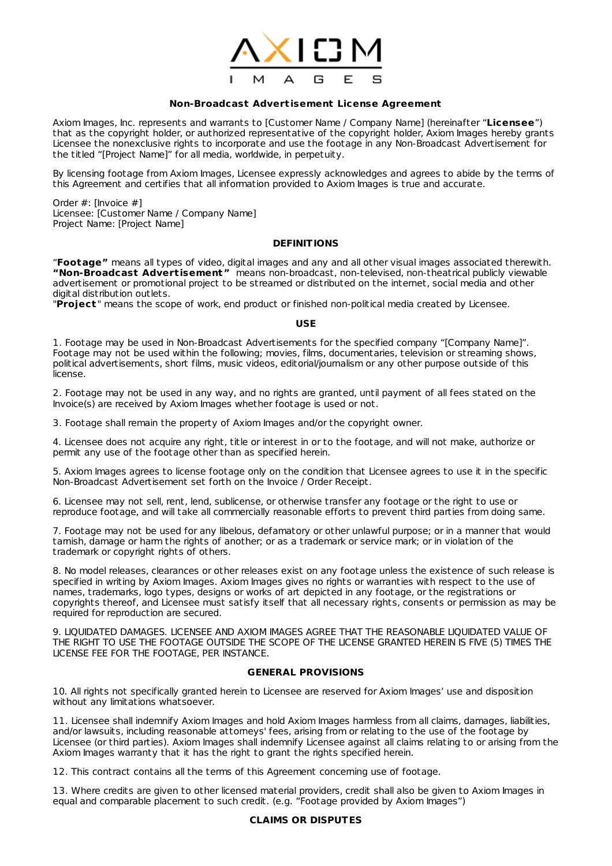

### **Non-Broadcast Advert isement License Agreement**

Axiom Images, Inc. represents and warrants to [Customer Name / Company Name] (hereinafter "**Licensee**") that as the copyright holder, or authorized representative of the copyright holder, Axiom Images hereby grants Licensee the nonexclusive rights to incorporate and use the footage in any Non-Broadcast Advertisement for the titled "[Project Name]" for all media, worldwide, in perpetuity.

By licensing footage from Axiom Images, Licensee expressly acknowledges and agrees to abide by the terms of this Agreement and certifies that all information provided to Axiom Images is true and accurate.

Order #: [Invoice #] Licensee: [Customer Name / Company Name] Project Name: [Project Name]

# **DEFINITIONS**

"**Footage"** means all types of video, digital images and any and all other visual images associated therewith. **"Non-Broadcast Advert isement"** means non-broadcast, non-televised, non-theatrical publicly viewable advertisement or promotional project to be streamed or distributed on the internet, social media and other digital distribution outlets.

"**Project** " means the scope of work, end product or finished non-political media created by Licensee.

### **USE**

1. Footage may be used in Non-Broadcast Advertisements for the specified company "[Company Name]". Footage may not be used within the following; movies, films, documentaries, television or streaming shows, political advertisements, short films, music videos, editorial/journalism or any other purpose outside of this license.

2. Footage may not be used in any way, and no rights are granted, until payment of all fees stated on the Invoice(s) are received by Axiom Images whether footage is used or not.

3. Footage shall remain the property of Axiom Images and/or the copyright owner.

4. Licensee does not acquire any right, title or interest in or to the footage, and will not make, authorize or permit any use of the footage other than as specified herein.

5. Axiom Images agrees to license footage only on the condition that Licensee agrees to use it in the specific Non-Broadcast Advertisement set forth on the Invoice / Order Receipt.

6. Licensee may not sell, rent, lend, sublicense, or otherwise transfer any footage or the right to use or reproduce footage, and will take all commercially reasonable efforts to prevent third parties from doing same.

7. Footage may not be used for any libelous, defamatory or other unlawful purpose; or in a manner that would tarnish, damage or harm the rights of another; or as a trademark or service mark; or in violation of the trademark or copyright rights of others.

8. No model releases, clearances or other releases exist on any footage unless the existence of such release is specified in writing by Axiom Images. Axiom Images gives no rights or warranties with respect to the use of names, trademarks, logo types, designs or works of art depicted in any footage, or the registrations or copyrights thereof, and Licensee must satisfy itself that all necessary rights, consents or permission as may be required for reproduction are secured.

9. LIQUIDATED DAMAGES. LICENSEE AND AXIOM IMAGES AGREE THAT THE REASONABLE LIQUIDATED VALUE OF THE RIGHT TO USE THE FOOTAGE OUTSIDE THE SCOPE OF THE LICENSE GRANTED HEREIN IS FIVE (5) TIMES THE LICENSE FEE FOR THE FOOTAGE, PER INSTANCE.

# **GENERAL PROVISIONS**

10. All rights not specifically granted herein to Licensee are reserved for Axiom Images' use and disposition without any limitations whatsoever.

11. Licensee shall indemnify Axiom Images and hold Axiom Images harmless from all claims, damages, liabilities, and/or lawsuits, including reasonable attorneys' fees, arising from or relating to the use of the footage by Licensee (or third parties). Axiom Images shall indemnify Licensee against all claims relating to or arising from the Axiom Images warranty that it has the right to grant the rights specified herein.

12. This contract contains all the terms of this Agreement concerning use of footage.

13. Where credits are given to other licensed material providers, credit shall also be given to Axiom Images in equal and comparable placement to such credit. (e.g. "Footage provided by Axiom Images")

#### **CLAIMS OR DISPUTES**